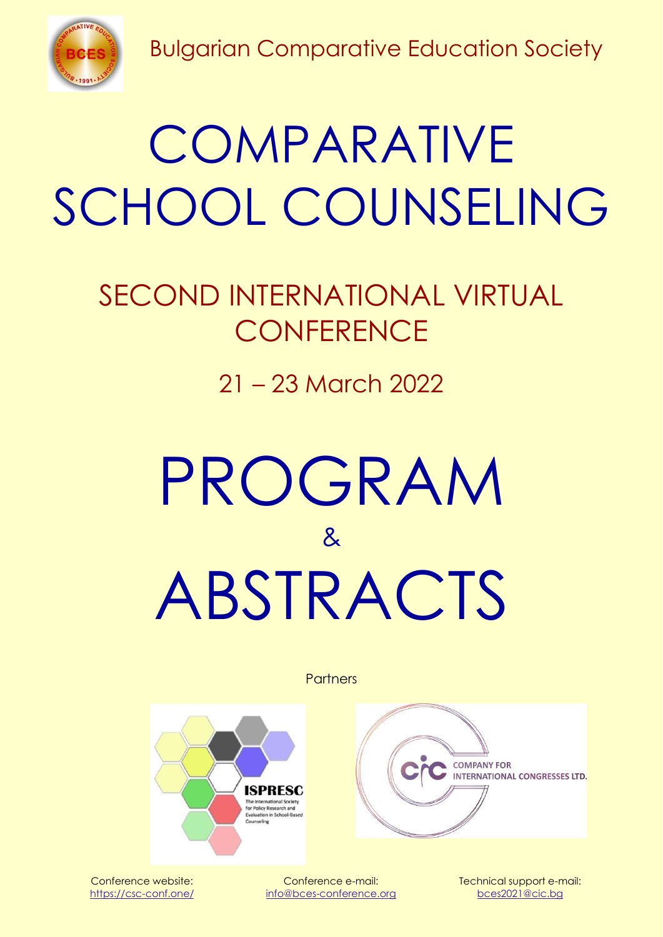



## **COMPARATIVE** SCHOOL COUNSELING

## SECOND INTERNATIONAL VIRTUAL **CONFERENCE**

21 – 23 March 2022

# PROGRAM & ABSTRACTS

**Partners** 



**COMPANY FOR INTERNATIONAL CONGRESSES LTD.** 

Conference website: https://csc-conf.one/

Conference e-mail: [info@bces-conference.org](mailto:info@bces-conference.org) Technical support e-mail: [bces2021@cic.bg](mailto:bces2021@cic.bg)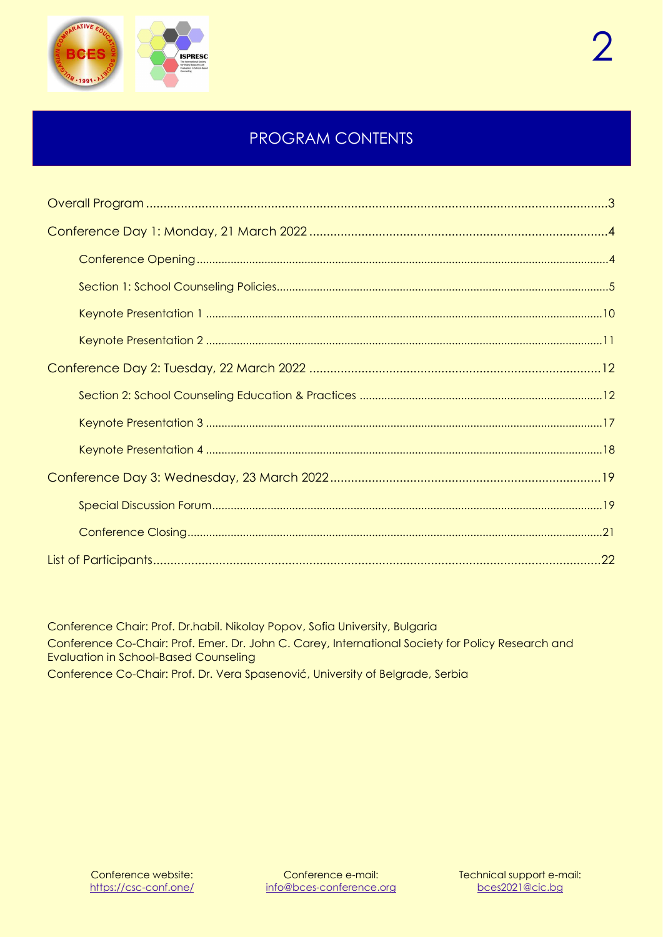

### PROGRAM CONTENTS

Conference Chair: Prof. Dr.habil. Nikolay Popov, Sofia University, Bulgaria Conference Co-Chair: Prof. Emer. Dr. John C. Carey, International Society for Policy Research and Evaluation in School-Based Counseling Conference Co-Chair: Prof. Dr. Vera Spasenović, University of Belgrade, Serbia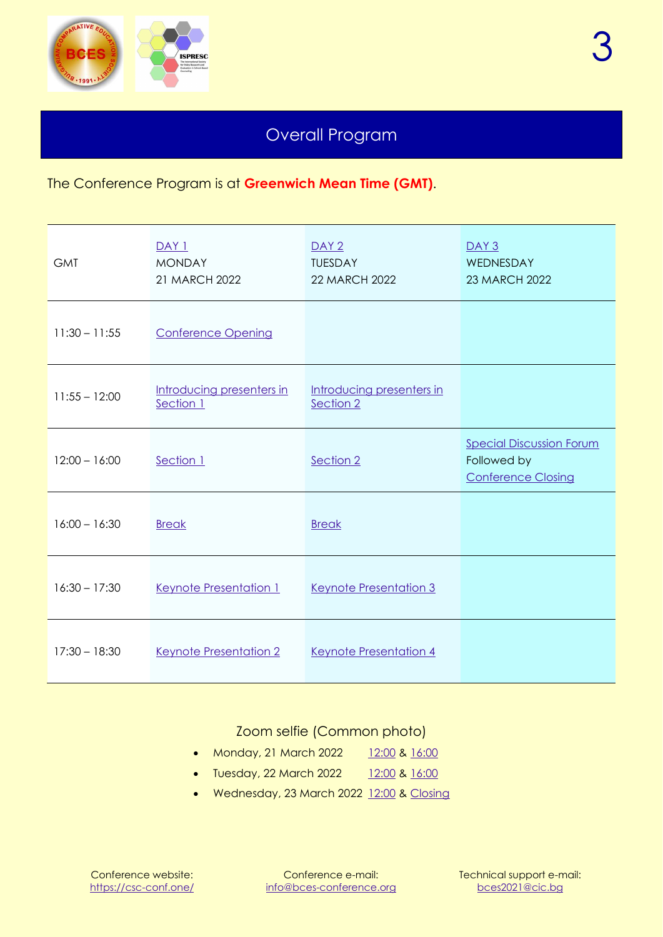

### Overall Program

<span id="page-2-0"></span>The Conference Program is at **Greenwich Mean Time (GMT)**.

| <b>GMT</b>      | DAY 1<br><b>MONDAY</b><br>21 MARCH 2022 | DATA <sub>2</sub><br><b>TUESDAY</b><br><b>22 MARCH 2022</b> | DAY <sub>3</sub><br>WEDNESDAY<br>23 MARCH 2022                              |
|-----------------|-----------------------------------------|-------------------------------------------------------------|-----------------------------------------------------------------------------|
| $11:30 - 11:55$ | <b>Conference Opening</b>               |                                                             |                                                                             |
| $11:55 - 12:00$ | Introducing presenters in<br>Section 1  | Introducing presenters in<br>Section 2                      |                                                                             |
| $12:00 - 16:00$ | Section 1                               | Section 2                                                   | <b>Special Discussion Forum</b><br>Followed by<br><b>Conference Closing</b> |
| $16:00 - 16:30$ | <b>Break</b>                            | <b>Break</b>                                                |                                                                             |
| $16:30 - 17:30$ | Keynote Presentation 1                  | Keynote Presentation 3                                      |                                                                             |
| $17:30 - 18:30$ | Keynote Presentation 2                  | Keynote Presentation 4                                      |                                                                             |

#### Zoom selfie (Common photo)

- <span id="page-2-1"></span>• Monday, 21 March 2022 [12:00](#page-2-1) & [16:00](#page-8-1)
- Tuesday, 22 March 2022 [12:00](#page-11-3) & [16:00](#page-15-1)
- Wednesday, 23 March 2022 [12:00](#page-18-2) & [Closing](#page-20-1)

Conference e-mail: [info@bces-conference.org](mailto:info@bces-conference.org)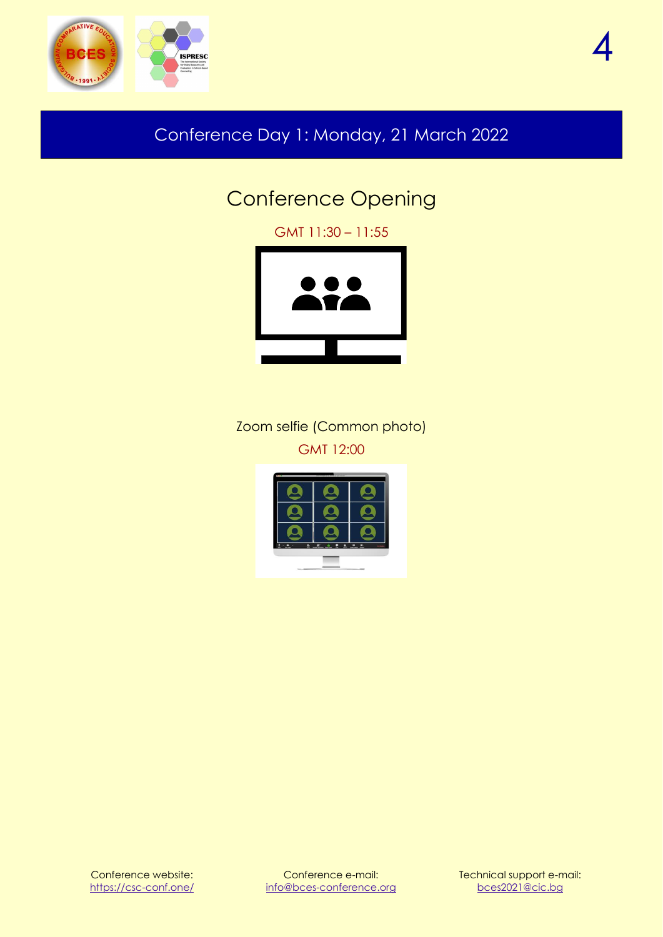<span id="page-3-0"></span>



### <span id="page-3-1"></span>Conference Day 1: Monday, 21 March 2022

### Conference Opening

GMT 11:30 – 11:55



Zoom selfie (Common photo) GMT 12:00

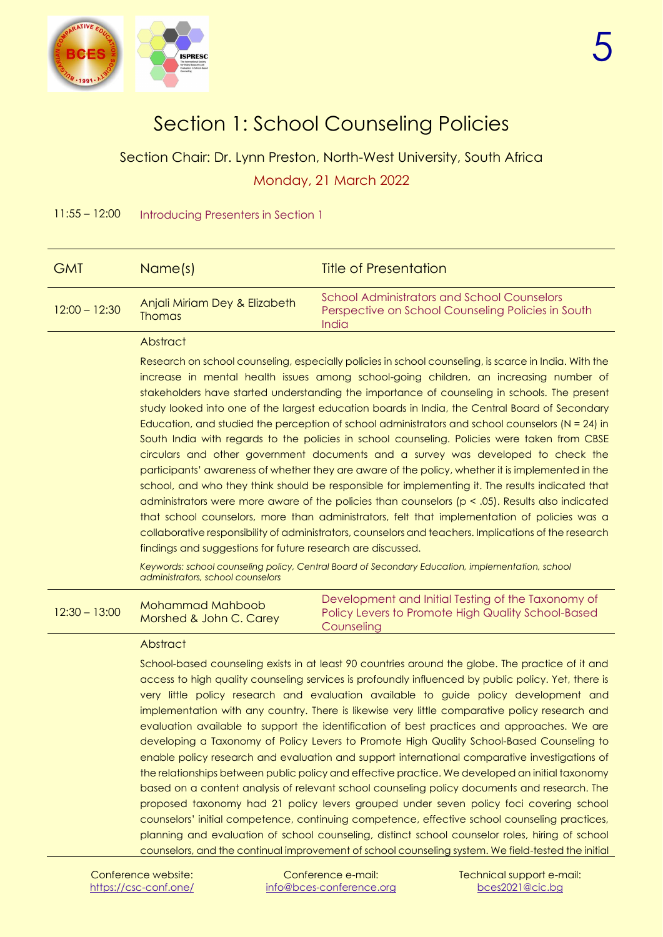

### Section 1: School Counseling Policies

<span id="page-4-1"></span><span id="page-4-0"></span>Section Chair: Dr. Lynn Preston, North-West University, South Africa Monday, 21 March 2022

11:55 – 12:00 Introducing Presenters in Section 1

| <b>GMT</b>      | Name(s)                                        | <b>Title of Presentation</b>                                                                                      |
|-----------------|------------------------------------------------|-------------------------------------------------------------------------------------------------------------------|
| $12:00 - 12:30$ | Anjali Miriam Dey & Elizabeth<br><b>Thomas</b> | <b>School Administrators and School Counselors</b><br>Perspective on School Counseling Policies in South<br>India |
|                 |                                                |                                                                                                                   |

#### Abstract

Research on school counseling, especially policies in school counseling, is scarce in India. With the increase in mental health issues among school-going children, an increasing number of stakeholders have started understanding the importance of counseling in schools. The present study looked into one of the largest education boards in India, the Central Board of Secondary Education, and studied the perception of school administrators and school counselors ( $N = 24$ ) in South India with regards to the policies in school counseling. Policies were taken from CBSE circulars and other government documents and a survey was developed to check the participants' awareness of whether they are aware of the policy, whether it is implemented in the school, and who they think should be responsible for implementing it. The results indicated that administrators were more aware of the policies than counselors ( $p < .05$ ). Results also indicated that school counselors, more than administrators, felt that implementation of policies was a collaborative responsibility of administrators, counselors and teachers. Implications of the research findings and suggestions for future research are discussed.

Keywords: school counseling policy, Central Board of Secondary Education, implementation, school *administrators, school counselors*

|                 | Mohammad Mahboob        | Development and Initial Testing of the Taxonomy of |
|-----------------|-------------------------|----------------------------------------------------|
| $12:30 - 13:00$ | Morshed & John C. Carey | Policy Levers to Promote High Quality School-Based |
|                 |                         | Counseling                                         |

#### **Abstract**

School-based counseling exists in at least 90 countries around the globe. The practice of it and access to high quality counseling services is profoundly influenced by public policy. Yet, there is very little policy research and evaluation available to guide policy development and implementation with any country. There is likewise very little comparative policy research and evaluation available to support the identification of best practices and approaches. We are developing a Taxonomy of Policy Levers to Promote High Quality School-Based Counseling to enable policy research and evaluation and support international comparative investigations of the relationships between public policy and effective practice. We developed an initial taxonomy based on a content analysis of relevant school counseling policy documents and research. The proposed taxonomy had 21 policy levers grouped under seven policy foci covering school counselors' initial competence, continuing competence, effective school counseling practices, planning and evaluation of school counseling, distinct school counselor roles, hiring of school counselors, and the continual improvement of school counseling system. We field-tested the initial

Conference e-mail: [info@bces-conference.org](mailto:info@bces-conference.org)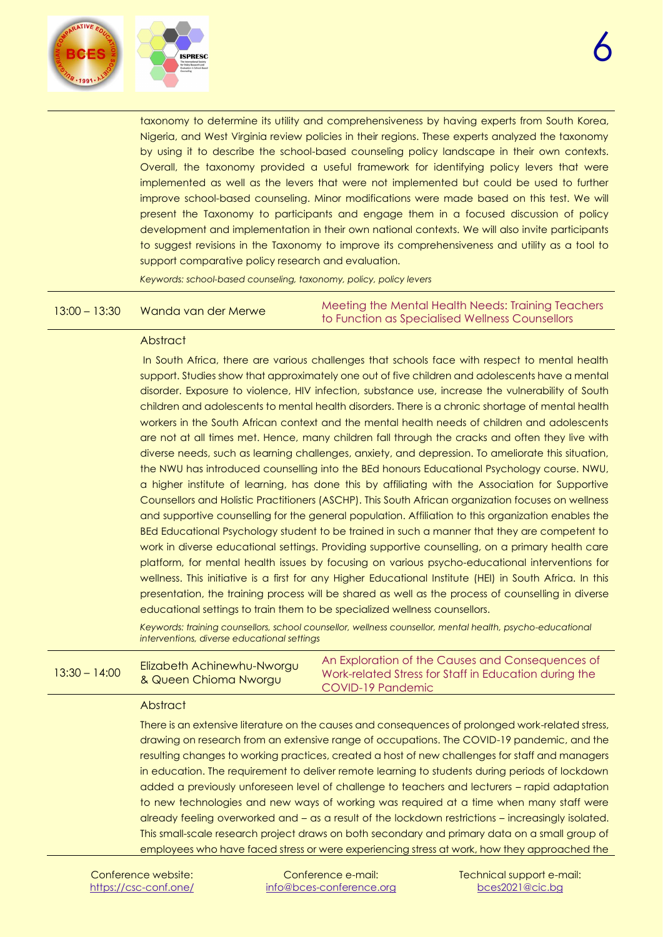

taxonomy to determine its utility and comprehensiveness by having experts from South Korea, Nigeria, and West Virginia review policies in their regions. These experts analyzed the taxonomy by using it to describe the school-based counseling policy landscape in their own contexts. Overall, the taxonomy provided a useful framework for identifying policy levers that were implemented as well as the levers that were not implemented but could be used to further improve school-based counseling. Minor modifications were made based on this test. We will present the Taxonomy to participants and engage them in a focused discussion of policy development and implementation in their own national contexts. We will also invite participants to suggest revisions in the Taxonomy to improve its comprehensiveness and utility as a tool to support comparative policy research and evaluation.

*Keywords: school-based counseling, taxonomy, policy, policy levers*

13:00 – 13:30 Wanda van der Merwe Meeting the Mental Health Needs: Training Teachers to Function as Specialised Wellness Counsellors

#### **Abstract**

In South Africa, there are various challenges that schools face with respect to mental health support. Studies show that approximately one out of five children and adolescents have a mental disorder. Exposure to violence, HIV infection, substance use, increase the vulnerability of South children and adolescents to mental health disorders. There is a chronic shortage of mental health workers in the South African context and the mental health needs of children and adolescents are not at all times met. Hence, many children fall through the cracks and often they live with diverse needs, such as learning challenges, anxiety, and depression. To ameliorate this situation, the NWU has introduced counselling into the BEd honours Educational Psychology course. NWU, a higher institute of learning, has done this by affiliating with the Association for Supportive Counsellors and Holistic Practitioners (ASCHP). This South African organization focuses on wellness and supportive counselling for the general population. Affiliation to this organization enables the BEd Educational Psychology student to be trained in such a manner that they are competent to work in diverse educational settings. Providing supportive counselling, on a primary health care platform, for mental health issues by focusing on various psycho-educational interventions for wellness. This initiative is a first for any Higher Educational Institute (HEI) in South Africa. In this presentation, the training process will be shared as well as the process of counselling in diverse educational settings to train them to be specialized wellness counsellors.

*Keywords: training counsellors, school counsellor, wellness counsellor, mental health, psycho-educational interventions, diverse educational settings*

| 13:30 – 14:00 | Elizabeth Achinewhu-Nworgu<br>& Queen Chioma Nworgu | An Exploration of the Causes and Consequences of<br>Work-related Stress for Staff in Education during the<br>COVID-19 Pandemic |
|---------------|-----------------------------------------------------|--------------------------------------------------------------------------------------------------------------------------------|
|---------------|-----------------------------------------------------|--------------------------------------------------------------------------------------------------------------------------------|

#### **Abstract**

There is an extensive literature on the causes and consequences of prolonged work-related stress, drawing on research from an extensive range of occupations. The COVID-19 pandemic, and the resulting changes to working practices, created a host of new challenges for staff and managers in education. The requirement to deliver remote learning to students during periods of lockdown added a previously unforeseen level of challenge to teachers and lecturers – rapid adaptation to new technologies and new ways of working was required at a time when many staff were already feeling overworked and – as a result of the lockdown restrictions – increasingly isolated. This small-scale research project draws on both secondary and primary data on a small group of employees who have faced stress or were experiencing stress at work, how they approached the

Conference website: <https://csc-conf.one/>

Conference e-mail: [info@bces-conference.org](mailto:info@bces-conference.org) Technical support e-mail: [bces2021@cic.bg](mailto:bces2021@cic.bg)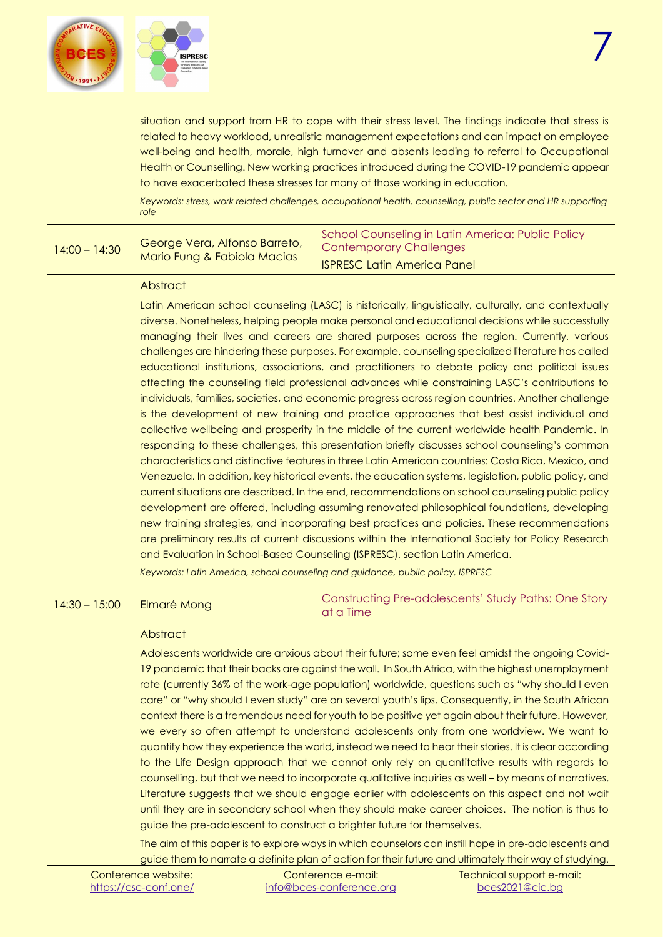

situation and support from HR to cope with their stress level. The findings indicate that stress is related to heavy workload, unrealistic management expectations and can impact on employee well-being and health, morale, high turnover and absents leading to referral to Occupational Health or Counselling. New working practices introduced during the COVID-19 pandemic appear to have exacerbated these stresses for many of those working in education.

*Keywords: stress, work related challenges, occupational health, counselling, public sector and HR supporting role*

#### 14:00 – 14:30 George Vera, Alfonso Barreto, Mario Fung & Fabiola Macias

School Counseling in Latin America: Public Policy Contemporary Challenges ISPRESC Latin America Panel

#### **Abstract**

Latin American school counseling (LASC) is historically, linguistically, culturally, and contextually diverse. Nonetheless, helping people make personal and educational decisions while successfully managing their lives and careers are shared purposes across the region. Currently, various challenges are hindering these purposes. For example, counseling specialized literature has called educational institutions, associations, and practitioners to debate policy and political issues affecting the counseling field professional advances while constraining LASC's contributions to individuals, families, societies, and economic progress across region countries. Another challenge is the development of new training and practice approaches that best assist individual and collective wellbeing and prosperity in the middle of the current worldwide health Pandemic. In responding to these challenges, this presentation briefly discusses school counseling's common characteristics and distinctive features in three Latin American countries: Costa Rica, Mexico, and Venezuela. In addition, key historical events, the education systems, legislation, public policy, and current situations are described. In the end, recommendations on school counseling public policy development are offered, including assuming renovated philosophical foundations, developing new training strategies, and incorporating best practices and policies. These recommendations are preliminary results of current discussions within the International Society for Policy Research and Evaluation in School-Based Counseling (ISPRESC), section Latin America.

*Keywords: Latin America, school counseling and guidance, public policy, ISPRESC*

| $14:30 - 15:00$ | Elmaré Mong | Constructing Pre-adolescents' Study Paths: One Story<br>at a Time |
|-----------------|-------------|-------------------------------------------------------------------|
|-----------------|-------------|-------------------------------------------------------------------|

#### **Abstract**

Adolescents worldwide are anxious about their future; some even feel amidst the ongoing Covid-19 pandemic that their backs are against the wall. In South Africa, with the highest unemployment rate (currently 36% of the work-age population) worldwide, questions such as "why should I even care" or "why should I even study" are on several youth's lips. Consequently, in the South African context there is a tremendous need for youth to be positive yet again about their future. However, we every so often attempt to understand adolescents only from one worldview. We want to quantify how they experience the world, instead we need to hear their stories. It is clear according to the Life Design approach that we cannot only rely on quantitative results with regards to counselling, but that we need to incorporate qualitative inquiries as well – by means of narratives. Literature suggests that we should engage earlier with adolescents on this aspect and not wait until they are in secondary school when they should make career choices. The notion is thus to guide the pre-adolescent to construct a brighter future for themselves.

The aim of this paper is to explore ways in which counselors can instill hope in pre-adolescents and guide them to narrate a definite plan of action for their future and ultimately their way of studying.

| Conference website:   | Conference e-mail:       | Technical support e-mail: |
|-----------------------|--------------------------|---------------------------|
| https://csc-conf.one/ | info@bces-conference.org | bces2021@cic.bg           |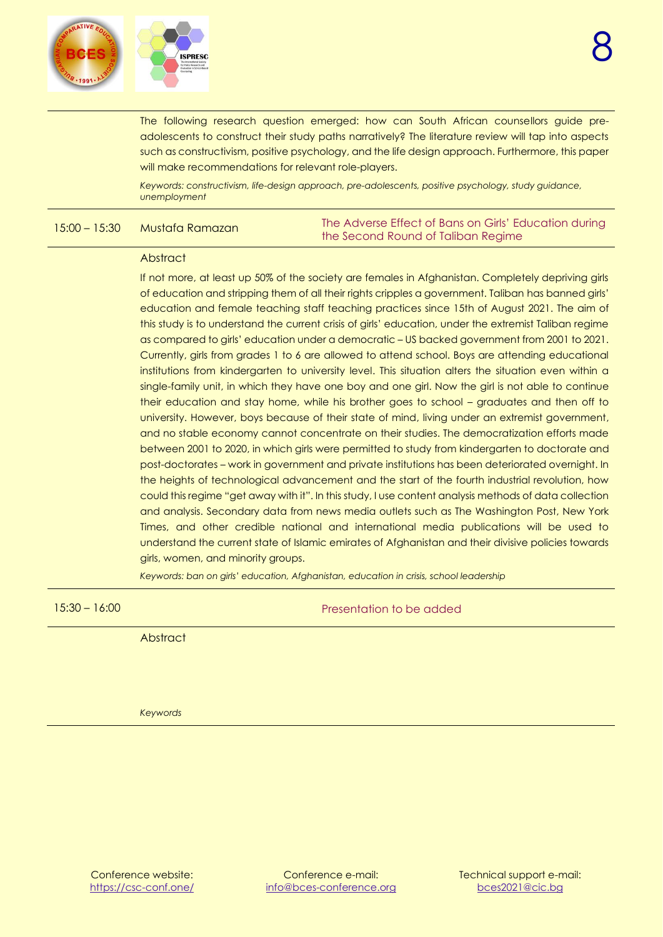

The following research question emerged: how can South African counsellors guide preadolescents to construct their study paths narratively? The literature review will tap into aspects such as constructivism, positive psychology, and the life design approach. Furthermore, this paper will make recommendations for relevant role-players.

*Keywords: constructivism, life-design approach, pre-adolescents, positive psychology, study guidance, unemployment*

15:00 – 15:30 Mustafa Ramazan The Adverse Effect of Bans on Girls' Education during the Second Round of Taliban Regime

#### **Abstract**

If not more, at least up 50% of the society are females in Afghanistan. Completely depriving girls of education and stripping them of all their rights cripples a government. Taliban has banned girls' education and female teaching staff teaching practices since 15th of August 2021. The aim of this study is to understand the current crisis of girls' education, under the extremist Taliban regime as compared to girls' education under a democratic – US backed government from 2001 to 2021. Currently, girls from grades 1 to 6 are allowed to attend school. Boys are attending educational institutions from kindergarten to university level. This situation alters the situation even within a single-family unit, in which they have one boy and one girl. Now the girl is not able to continue their education and stay home, while his brother goes to school – graduates and then off to university. However, boys because of their state of mind, living under an extremist government, and no stable economy cannot concentrate on their studies. The democratization efforts made between 2001 to 2020, in which girls were permitted to study from kindergarten to doctorate and post-doctorates – work in government and private institutions has been deteriorated overnight. In the heights of technological advancement and the start of the fourth industrial revolution, how could this regime "get away with it". In this study, I use content analysis methods of data collection and analysis. Secondary data from news media outlets such as The Washington Post, New York Times, and other credible national and international media publications will be used to understand the current state of Islamic emirates of Afghanistan and their divisive policies towards girls, women, and minority groups.

*Keywords: ban on girls' education, Afghanistan, education in crisis, school leadership*

15:30 – 16:00 Presentation to be added

**Abstract** 

*Keywords*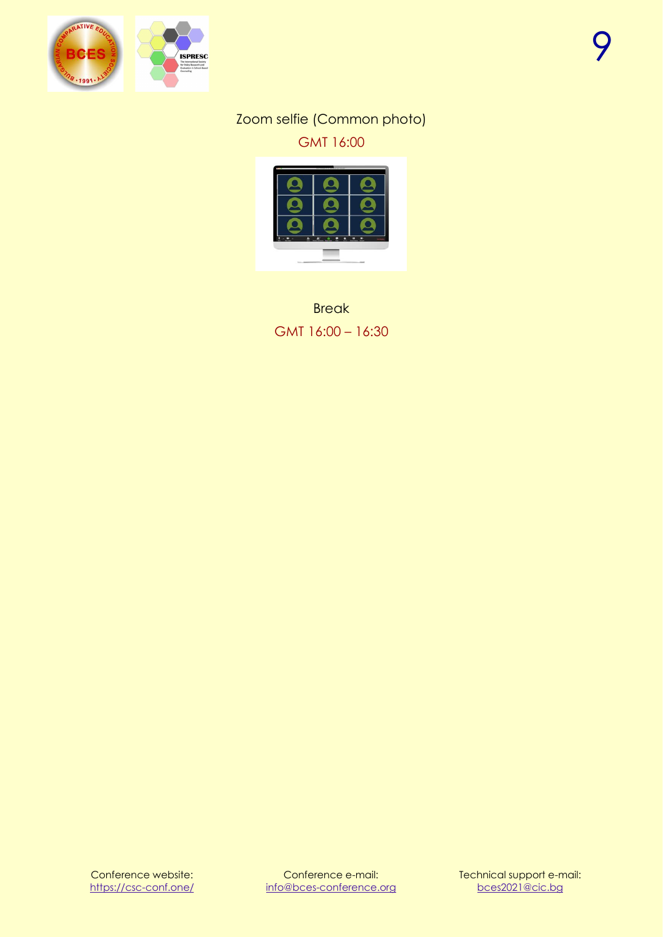<span id="page-8-1"></span>

#### Zoom selfie (Common photo) GMT 16:00



<span id="page-8-0"></span>**Break** GMT 16:00 – 16:30

Conference website: <https://csc-conf.one/>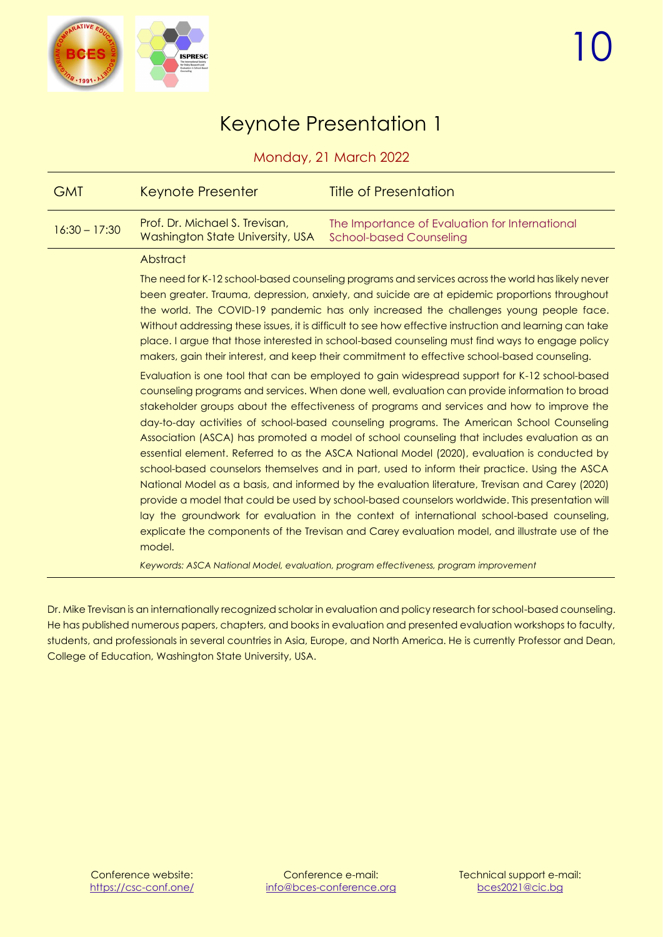

### Keynote Presentation 1

Monday, 21 March 2022

<span id="page-9-0"></span>

| <b>GMT</b>      | Keynote Presenter                                                  | <b>Title of Presentation</b>                                                                                                                                                                                                                                                                                                                                                                                                                                                                                                                                                                                                                                                                                                                                                                                                                                                                                                                                                                                                                                                                                                                                                                                                                                                                                                                                                                                                                                                                                                                                                                                                                                                                                                                                                                         |
|-----------------|--------------------------------------------------------------------|------------------------------------------------------------------------------------------------------------------------------------------------------------------------------------------------------------------------------------------------------------------------------------------------------------------------------------------------------------------------------------------------------------------------------------------------------------------------------------------------------------------------------------------------------------------------------------------------------------------------------------------------------------------------------------------------------------------------------------------------------------------------------------------------------------------------------------------------------------------------------------------------------------------------------------------------------------------------------------------------------------------------------------------------------------------------------------------------------------------------------------------------------------------------------------------------------------------------------------------------------------------------------------------------------------------------------------------------------------------------------------------------------------------------------------------------------------------------------------------------------------------------------------------------------------------------------------------------------------------------------------------------------------------------------------------------------------------------------------------------------------------------------------------------------|
| $16:30 - 17:30$ | Prof. Dr. Michael S. Trevisan,<br>Washington State University, USA | The Importance of Evaluation for International<br><b>School-based Counseling</b>                                                                                                                                                                                                                                                                                                                                                                                                                                                                                                                                                                                                                                                                                                                                                                                                                                                                                                                                                                                                                                                                                                                                                                                                                                                                                                                                                                                                                                                                                                                                                                                                                                                                                                                     |
|                 | Abstract                                                           |                                                                                                                                                                                                                                                                                                                                                                                                                                                                                                                                                                                                                                                                                                                                                                                                                                                                                                                                                                                                                                                                                                                                                                                                                                                                                                                                                                                                                                                                                                                                                                                                                                                                                                                                                                                                      |
|                 | model.                                                             | The need for K-12 school-based counseling programs and services across the world has likely never<br>been greater. Trauma, depression, anxiety, and suicide are at epidemic proportions throughout<br>the world. The COVID-19 pandemic has only increased the challenges young people face.<br>Without addressing these issues, it is difficult to see how effective instruction and learning can take<br>place. I argue that those interested in school-based counseling must find ways to engage policy<br>makers, gain their interest, and keep their commitment to effective school-based counseling.<br>Evaluation is one tool that can be employed to gain widespread support for K-12 school-based<br>counseling programs and services. When done well, evaluation can provide information to broad<br>stakeholder groups about the effectiveness of programs and services and how to improve the<br>day-to-day activities of school-based counseling programs. The American School Counseling<br>Association (ASCA) has promoted a model of school counseling that includes evaluation as an<br>essential element. Referred to as the ASCA National Model (2020), evaluation is conducted by<br>school-based counselors themselves and in part, used to inform their practice. Using the ASCA<br>National Model as a basis, and informed by the evaluation literature, Trevisan and Carey (2020)<br>provide a model that could be used by school-based counselors worldwide. This presentation will<br>lay the groundwork for evaluation in the context of international school-based counseling,<br>explicate the components of the Trevisan and Carey evaluation model, and illustrate use of the<br>Keywords: ASCA National Model, evaluation, program effectiveness, program improvement |

Dr. Mike Trevisan is an internationally recognized scholar in evaluation and policy research for school-based counseling. He has published numerous papers, chapters, and books in evaluation and presented evaluation workshops to faculty, students, and professionals in several countries in Asia, Europe, and North America. He is currently Professor and Dean, College of Education, Washington State University, USA.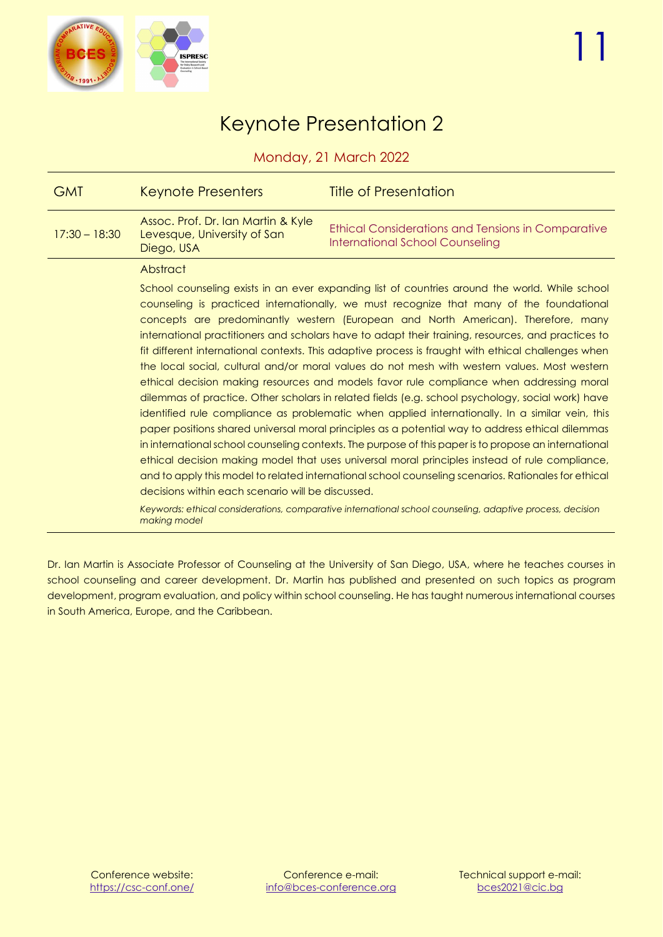

### Keynote Presentation 2

Monday, 21 March 2022

<span id="page-10-0"></span>

| <b>GMT</b>      | Keynote Presenters                                                                                                                                                                                                                                                                                                                                                                                                                                                                                                                                                                                                                                                                                                                                                                                                                                                                                                                                                                                                                                                                                                                                                                                                                                                                                                                                                                                                                                                                                        | <b>Title of Presentation</b>                                                                        |  |
|-----------------|-----------------------------------------------------------------------------------------------------------------------------------------------------------------------------------------------------------------------------------------------------------------------------------------------------------------------------------------------------------------------------------------------------------------------------------------------------------------------------------------------------------------------------------------------------------------------------------------------------------------------------------------------------------------------------------------------------------------------------------------------------------------------------------------------------------------------------------------------------------------------------------------------------------------------------------------------------------------------------------------------------------------------------------------------------------------------------------------------------------------------------------------------------------------------------------------------------------------------------------------------------------------------------------------------------------------------------------------------------------------------------------------------------------------------------------------------------------------------------------------------------------|-----------------------------------------------------------------------------------------------------|--|
| $17:30 - 18:30$ | Assoc. Prof. Dr. Ian Martin & Kyle<br>Levesque, University of San<br>Diego, USA                                                                                                                                                                                                                                                                                                                                                                                                                                                                                                                                                                                                                                                                                                                                                                                                                                                                                                                                                                                                                                                                                                                                                                                                                                                                                                                                                                                                                           | <b>Ethical Considerations and Tensions in Comparative</b><br><b>International School Counseling</b> |  |
|                 | Abstract                                                                                                                                                                                                                                                                                                                                                                                                                                                                                                                                                                                                                                                                                                                                                                                                                                                                                                                                                                                                                                                                                                                                                                                                                                                                                                                                                                                                                                                                                                  |                                                                                                     |  |
|                 | School counseling exists in an ever expanding list of countries around the world. While school<br>counseling is practiced internationally, we must recognize that many of the foundational<br>concepts are predominantly western (European and North American). Therefore, many<br>international practitioners and scholars have to adapt their training, resources, and practices to<br>fit different international contexts. This adaptive process is fraught with ethical challenges when<br>the local social, cultural and/or moral values do not mesh with western values. Most western<br>ethical decision making resources and models favor rule compliance when addressing moral<br>dilemmas of practice. Other scholars in related fields (e.g. school psychology, social work) have<br>identified rule compliance as problematic when applied internationally. In a similar vein, this<br>paper positions shared universal moral principles as a potential way to address ethical dilemmas<br>in international school counseling contexts. The purpose of this paper is to propose an international<br>ethical decision making model that uses universal moral principles instead of rule compliance,<br>and to apply this model to related international school counseling scenarios. Rationales for ethical<br>decisions within each scenario will be discussed.<br>Keywords: ethical considerations, comparative international school counseling, adaptive process, decision<br>making model |                                                                                                     |  |

Dr. Ian Martin is Associate Professor of Counseling at the University of San Diego, USA, where he teaches courses in school counseling and career development. Dr. Martin has published and presented on such topics as program development, program evaluation, and policy within school counseling. He has taught numerous international courses in South America, Europe, and the Caribbean.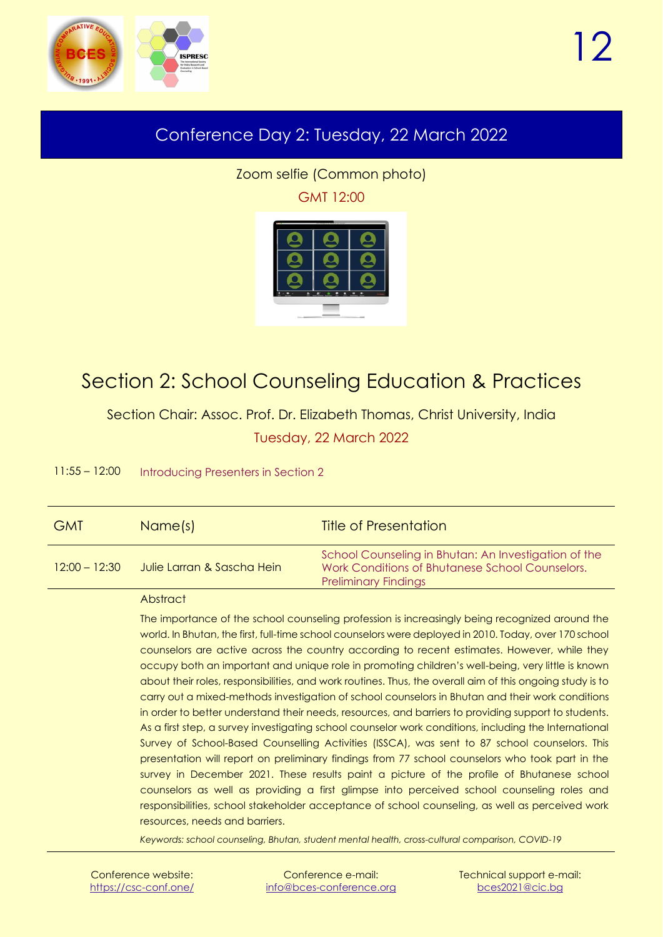<span id="page-11-0"></span>

### <span id="page-11-3"></span>Conference Day 2: Tuesday, 22 March 2022

Zoom selfie (Common photo) GMT 12:00



### <span id="page-11-1"></span>Section 2: School Counseling Education & Practices

<span id="page-11-2"></span>Section Chair: Assoc. Prof. Dr. Elizabeth Thomas, Christ University, India Tuesday, 22 March 2022

11:55 – 12:00 Introducing Presenters in Section 2

| <b>GMT</b>      | Name(s)                    | <b>Title of Presentation</b>                                                                                                           |
|-----------------|----------------------------|----------------------------------------------------------------------------------------------------------------------------------------|
| $12:00 - 12:30$ | Julie Larran & Sascha Hein | School Counseling in Bhutan: An Investigation of the<br>Work Conditions of Bhutanese School Counselors.<br><b>Preliminary Findings</b> |

#### **Abstract**

The importance of the school counseling profession is increasingly being recognized around the world. In Bhutan, the first, full-time school counselors were deployed in 2010. Today, over 170 school counselors are active across the country according to recent estimates. However, while they occupy both an important and unique role in promoting children's well-being, very little is known about their roles, responsibilities, and work routines. Thus, the overall aim of this ongoing study is to carry out a mixed-methods investigation of school counselors in Bhutan and their work conditions in order to better understand their needs, resources, and barriers to providing support to students. As a first step, a survey investigating school counselor work conditions, including the International Survey of School-Based Counselling Activities (ISSCA), was sent to 87 school counselors. This presentation will report on preliminary findings from 77 school counselors who took part in the survey in December 2021. These results paint a picture of the profile of Bhutanese school counselors as well as providing a first glimpse into perceived school counseling roles and responsibilities, school stakeholder acceptance of school counseling, as well as perceived work resources, needs and barriers.

*Keywords: school counseling, Bhutan, student mental health, cross-cultural comparison, COVID-19*

| Conference website:   |
|-----------------------|
| https://csc-conf.one/ |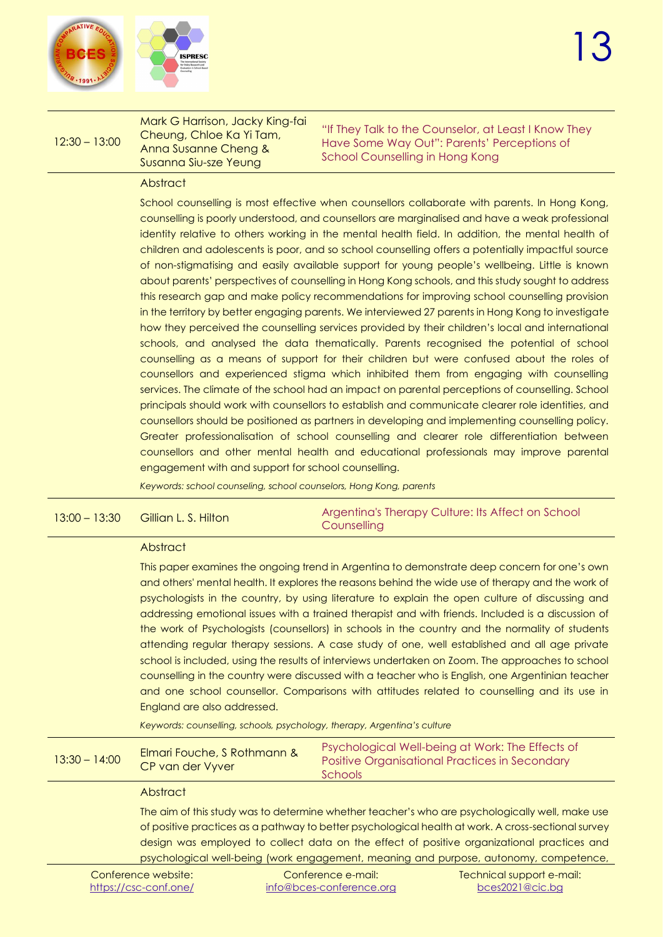

#### 12:30 – 13:00 Mark G Harrison, Jacky King-fai Cheung, Chloe Ka Yi Tam, Anna Susanne Cheng & Susanna Siu-sze Yeung "If They Talk to the Counselor, at Least I Know They Have Some Way Out": Parents' Perceptions of School Counselling in Hong Kong

#### Abstract

School counselling is most effective when counsellors collaborate with parents. In Hong Kong, counselling is poorly understood, and counsellors are marginalised and have a weak professional identity relative to others working in the mental health field. In addition, the mental health of children and adolescents is poor, and so school counselling offers a potentially impactful source of non-stigmatising and easily available support for young people's wellbeing. Little is known about parents' perspectives of counselling in Hong Kong schools, and this study sought to address this research gap and make policy recommendations for improving school counselling provision in the territory by better engaging parents. We interviewed 27 parents in Hong Kong to investigate how they perceived the counselling services provided by their children's local and international schools, and analysed the data thematically. Parents recognised the potential of school counselling as a means of support for their children but were confused about the roles of counsellors and experienced stigma which inhibited them from engaging with counselling services. The climate of the school had an impact on parental perceptions of counselling. School principals should work with counsellors to establish and communicate clearer role identities, and counsellors should be positioned as partners in developing and implementing counselling policy. Greater professionalisation of school counselling and clearer role differentiation between counsellors and other mental health and educational professionals may improve parental engagement with and support for school counselling.

*Keywords: school counseling, school counselors, Hong Kong, parents*

| $13:00 - 13:30$                                                                                                                                       | Gillian L. S. Hilton                                                                                                                                                                                                                                                                                                                                                                                                                                                                                                                                                                                                                                                                                                                                                                                                                                                                                                                                                                                                             | Argentina's Therapy Culture: Its Affect on School<br>Counselling                                              |  |
|-------------------------------------------------------------------------------------------------------------------------------------------------------|----------------------------------------------------------------------------------------------------------------------------------------------------------------------------------------------------------------------------------------------------------------------------------------------------------------------------------------------------------------------------------------------------------------------------------------------------------------------------------------------------------------------------------------------------------------------------------------------------------------------------------------------------------------------------------------------------------------------------------------------------------------------------------------------------------------------------------------------------------------------------------------------------------------------------------------------------------------------------------------------------------------------------------|---------------------------------------------------------------------------------------------------------------|--|
|                                                                                                                                                       | Abstract                                                                                                                                                                                                                                                                                                                                                                                                                                                                                                                                                                                                                                                                                                                                                                                                                                                                                                                                                                                                                         |                                                                                                               |  |
|                                                                                                                                                       | This paper examines the ongoing trend in Argentina to demonstrate deep concern for one's own<br>and others' mental health. It explores the reasons behind the wide use of therapy and the work of<br>psychologists in the country, by using literature to explain the open culture of discussing and<br>addressing emotional issues with a trained therapist and with friends. Included is a discussion of<br>the work of Psychologists (counsellors) in schools in the country and the normality of students<br>attending regular therapy sessions. A case study of one, well established and all age private<br>school is included, using the results of interviews undertaken on Zoom. The approaches to school<br>counselling in the country were discussed with a teacher who is English, one Argentinian teacher<br>and one school counsellor. Comparisons with attitudes related to counselling and its use in<br>England are also addressed.<br>Keywords: counselling, schools, psychology, therapy, Argentina's culture |                                                                                                               |  |
| $13:30 - 14:00$                                                                                                                                       | Elmari Fouche, S Rothmann &<br>CP van der Vyver                                                                                                                                                                                                                                                                                                                                                                                                                                                                                                                                                                                                                                                                                                                                                                                                                                                                                                                                                                                  | Psychological Well-being at Work: The Effects of<br>Positive Organisational Practices in Secondary<br>Schools |  |
|                                                                                                                                                       | Abstract                                                                                                                                                                                                                                                                                                                                                                                                                                                                                                                                                                                                                                                                                                                                                                                                                                                                                                                                                                                                                         |                                                                                                               |  |
|                                                                                                                                                       | The aim of this study was to determine whether teacher's who are psychologically well, make use<br>of positive practices as a pathway to better psychological health at work. A cross-sectional survey<br>design was employed to collect data on the effect of positive organizational practices and<br>psychological well-being (work engagement, meaning and purpose, autonomy, competence,                                                                                                                                                                                                                                                                                                                                                                                                                                                                                                                                                                                                                                    |                                                                                                               |  |
| Conference website:<br>Conference e-mail:<br>Technical support e-mail:<br>bces2021@cic.bg<br><u>https://csc-conf.one/</u><br>info@bces-conference.org |                                                                                                                                                                                                                                                                                                                                                                                                                                                                                                                                                                                                                                                                                                                                                                                                                                                                                                                                                                                                                                  |                                                                                                               |  |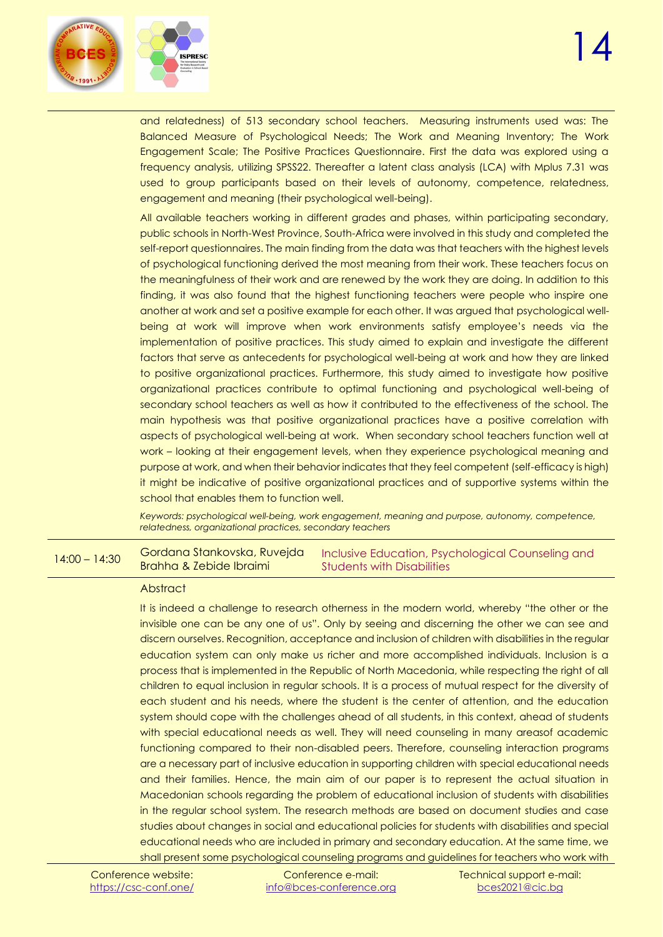and relatedness) of 513 secondary school teachers. Measuring instruments used was: The Balanced Measure of Psychological Needs; The Work and Meaning Inventory; The Work Engagement Scale; The Positive Practices Questionnaire. First the data was explored using a frequency analysis, utilizing SPSS22. Thereafter a latent class analysis (LCA) with Mplus 7.31 was used to group participants based on their levels of autonomy, competence, relatedness, engagement and meaning (their psychological well-being).

All available teachers working in different grades and phases, within participating secondary, public schools in North-West Province, South-Africa were involved in this study and completed the self-report questionnaires. The main finding from the data was that teachers with the highest levels of psychological functioning derived the most meaning from their work. These teachers focus on the meaningfulness of their work and are renewed by the work they are doing. In addition to this finding, it was also found that the highest functioning teachers were people who inspire one another at work and set a positive example for each other. It was argued that psychological wellbeing at work will improve when work environments satisfy employee's needs via the implementation of positive practices. This study aimed to explain and investigate the different factors that serve as antecedents for psychological well-being at work and how they are linked to positive organizational practices. Furthermore, this study aimed to investigate how positive organizational practices contribute to optimal functioning and psychological well-being of secondary school teachers as well as how it contributed to the effectiveness of the school. The main hypothesis was that positive organizational practices have a positive correlation with aspects of psychological well-being at work. When secondary school teachers function well at work – looking at their engagement levels, when they experience psychological meaning and purpose at work, and when their behavior indicates that they feel competent (self-efficacy is high) it might be indicative of positive organizational practices and of supportive systems within the school that enables them to function well.

*Keywords: psychological well-being, work engagement, meaning and purpose, autonomy, competence, relatedness, organizational practices, secondary teachers*

14:00 – 14:30 Gordana Stankovska, Ruvejda Brahha & Zebide Ibraimi Inclusive Education, Psychological Counseling and Students with Disabilities

#### **Abstract**

It is indeed a challenge to research otherness in the modern world, whereby "the other or the invisible one can be any one of us". Only by seeing and discerning the other we can see and discern ourselves. Recognition, acceptance and inclusion of children with disabilities in the regular education system can only make us richer and more accomplished individuals. Inclusion is a process that is implemented in the Republic of North Macedonia, while respecting the right of all children to equal inclusion in regular schools. It is a process of mutual respect for the diversity of each student and his needs, where the student is the center of attention, and the education system should cope with the challenges ahead of all students, in this context, ahead of students with special educational needs as well. They will need counseling in many areasof academic functioning compared to their non-disabled peers. Therefore, counseling interaction programs are a necessary part of inclusive education in supporting children with special educational needs and their families. Hence, the main aim of our paper is to represent the actual situation in Macedonian schools regarding the problem of educational inclusion of students with disabilities in the regular school system. The research methods are based on document studies and case studies about changes in social and educational policies for students with disabilities and special educational needs who are included in primary and secondary education. At the same time, we shall present some psychological counseling programs and guidelines for teachers who work with

Conference e-mail: [info@bces-conference.org](mailto:info@bces-conference.org)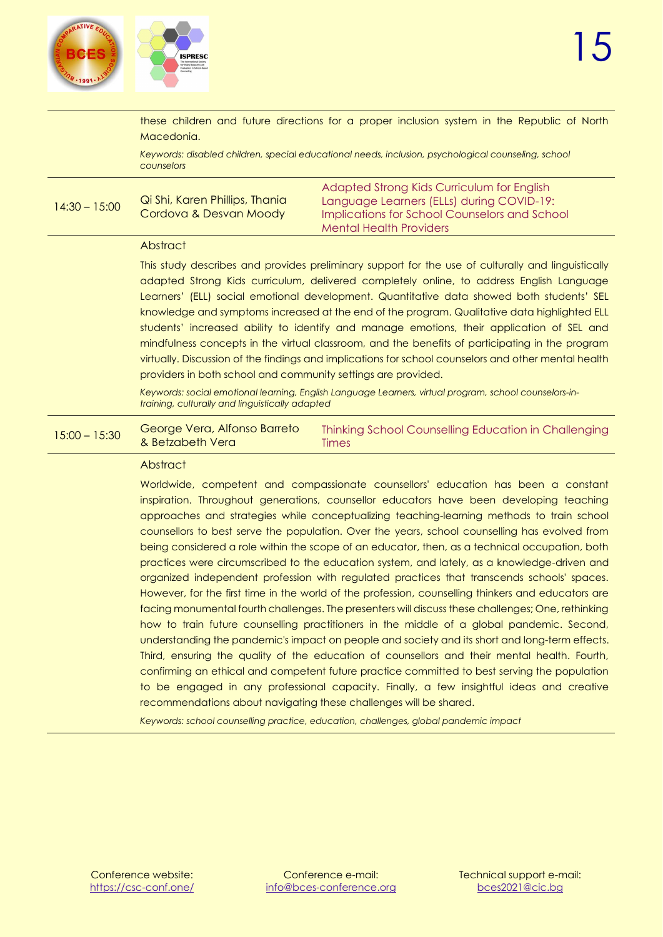

these children and future directions for a proper inclusion system in the Republic of North Macedonia. *Keywords: disabled children, special educational needs, inclusion, psychological counseling, school counselors* 14:30 – 15:00 Qi Shi, Karen Phillips, Thania Cordova & Desvan Moody Adapted Strong Kids Curriculum for English Language Learners (ELLs) during COVID-19: Implications for School Counselors and School Mental Health Providers **Abstract** This study describes and provides preliminary support for the use of culturally and linguistically adapted Strong Kids curriculum, delivered completely online, to address English Language Learners' (ELL) social emotional development. Quantitative data showed both students' SEL knowledge and symptoms increased at the end of the program. Qualitative data highlighted ELL students' increased ability to identify and manage emotions, their application of SEL and mindfulness concepts in the virtual classroom, and the benefits of participating in the program virtually. Discussion of the findings and implications for school counselors and other mental health providers in both school and community settings are provided. *Keywords: social emotional learning, English Language Learners, virtual program, school counselors-intraining, culturally and linguistically adapted*  $15:00 - 15:30$ George Vera, Alfonso Barreto & Betzabeth Vera Thinking School Counselling Education in Challenging Times **Abstract** Worldwide, competent and compassionate counsellors' education has been a constant inspiration. Throughout generations, counsellor educators have been developing teaching approaches and strategies while conceptualizing teaching-learning methods to train school counsellors to best serve the population. Over the years, school counselling has evolved from being considered a role within the scope of an educator, then, as a technical occupation, both practices were circumscribed to the education system, and lately, as a knowledge-driven and organized independent profession with regulated practices that transcends schools' spaces. However, for the first time in the world of the profession, counselling thinkers and educators are facing monumental fourth challenges. The presenters will discuss these challenges; One, rethinking how to train future counselling practitioners in the middle of a global pandemic. Second, understanding the pandemic's impact on people and society and its short and long-term effects. Third, ensuring the quality of the education of counsellors and their mental health. Fourth, confirming an ethical and competent future practice committed to best serving the population to be engaged in any professional capacity. Finally, a few insightful ideas and creative recommendations about navigating these challenges will be shared.

*Keywords: school counselling practice, education, challenges, global pandemic impact*

Conference website: <https://csc-conf.one/>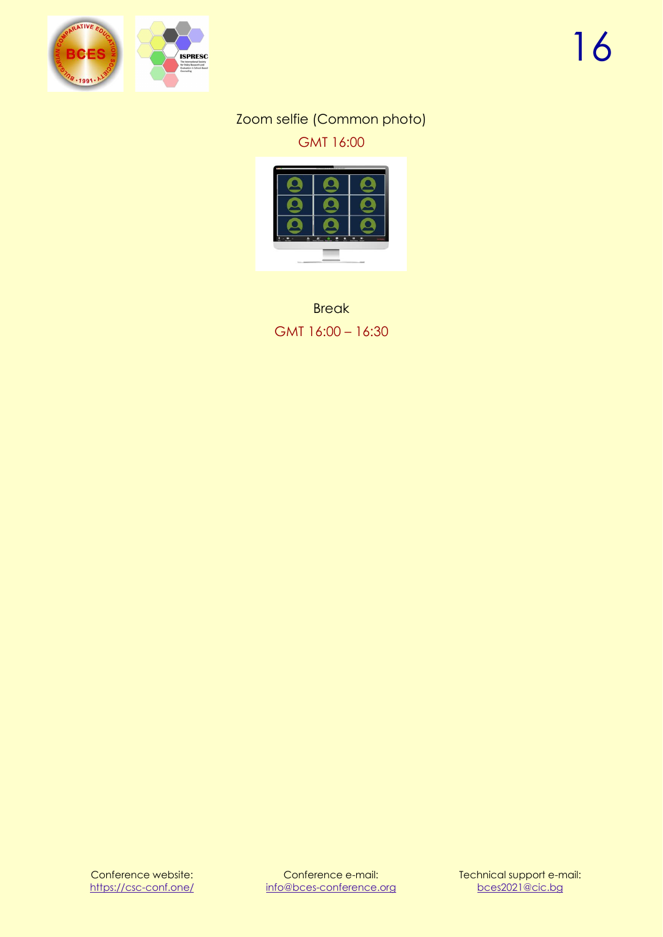<span id="page-15-1"></span>

#### Zoom selfie (Common photo) GMT 16:00



<span id="page-15-0"></span>**Break** GMT 16:00 – 16:30

Conference website: <https://csc-conf.one/>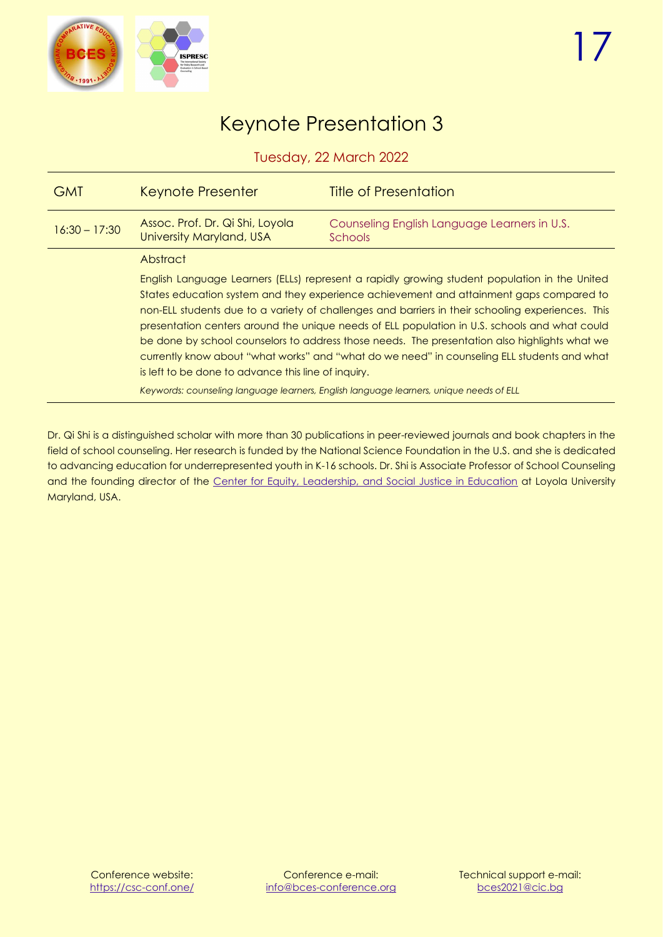

### Keynote Presentation 3

Tuesday, 22 March 2022

<span id="page-16-0"></span>

| <b>GMT</b>      | <b>Keynote Presenter</b>                                                                                                                                                                                                                                                                                                                                                                                                                                                                                                                                                                                                                                                                                                                        | <b>Title of Presentation</b>                            |
|-----------------|-------------------------------------------------------------------------------------------------------------------------------------------------------------------------------------------------------------------------------------------------------------------------------------------------------------------------------------------------------------------------------------------------------------------------------------------------------------------------------------------------------------------------------------------------------------------------------------------------------------------------------------------------------------------------------------------------------------------------------------------------|---------------------------------------------------------|
| $16:30 - 17:30$ | Assoc. Prof. Dr. Qi Shi, Loyola<br>University Maryland, USA                                                                                                                                                                                                                                                                                                                                                                                                                                                                                                                                                                                                                                                                                     | Counseling English Language Learners in U.S.<br>Schools |
|                 | Abstract                                                                                                                                                                                                                                                                                                                                                                                                                                                                                                                                                                                                                                                                                                                                        |                                                         |
|                 | English Language Learners (ELLs) represent a rapidly growing student population in the United<br>States education system and they experience achievement and attainment gaps compared to<br>non-ELL students due to a variety of challenges and barriers in their schooling experiences. This<br>presentation centers around the unique needs of ELL population in U.S. schools and what could<br>be done by school counselors to address those needs. The presentation also highlights what we<br>currently know about "what works" and "what do we need" in counseling ELL students and what<br>is left to be done to advance this line of inquiry.<br>Keywords: counseling language learners, English language learners, unique needs of ELL |                                                         |

Dr. Qi Shi is a distinguished scholar with more than 30 publications in peer-reviewed journals and book chapters in the field of school counseling. Her research is funded by the National Science Foundation in the U.S. and she is dedicated to advancing education for underrepresented youth in K-16 schools. Dr. Shi is Associate Professor of School Counseling and the founding director of the [Center for Equity, Leadership, and Social Justice in Education](https://www.loyola.edu/department/center-equity-leadership-social-justice-education) at Loyola University Maryland, USA.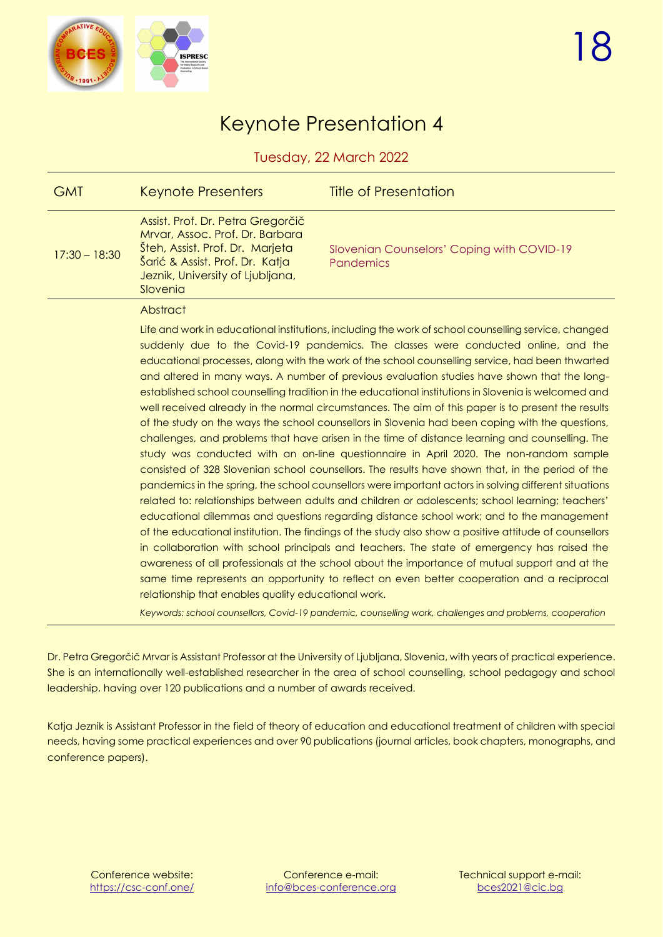

### Keynote Presentation 4

Tuesday, 22 March 2022

<span id="page-17-0"></span>

| <b>GMT</b>      | Keynote Presenters                                                                                                                                                                                                                                                                                                                                                                                                                                                                                                                                                                                                                                                                                                                                                                                                                                                                                                                                                                                                                                                                                                                                                                                                                                                                                                                                                                                                                                                                                                                                                                                                                                                                                                                                                                                                                                                                                 | <b>Title of Presentation</b>                                   |
|-----------------|----------------------------------------------------------------------------------------------------------------------------------------------------------------------------------------------------------------------------------------------------------------------------------------------------------------------------------------------------------------------------------------------------------------------------------------------------------------------------------------------------------------------------------------------------------------------------------------------------------------------------------------------------------------------------------------------------------------------------------------------------------------------------------------------------------------------------------------------------------------------------------------------------------------------------------------------------------------------------------------------------------------------------------------------------------------------------------------------------------------------------------------------------------------------------------------------------------------------------------------------------------------------------------------------------------------------------------------------------------------------------------------------------------------------------------------------------------------------------------------------------------------------------------------------------------------------------------------------------------------------------------------------------------------------------------------------------------------------------------------------------------------------------------------------------------------------------------------------------------------------------------------------------|----------------------------------------------------------------|
| $17:30 - 18:30$ | Assist. Prof. Dr. Petra Gregorčič<br>Mrvar, Assoc. Prof. Dr. Barbara<br>Šteh, Assist. Prof. Dr. Marjeta<br>Sarić & Assist, Prof. Dr. Katja<br>Jeznik, University of Ljubljana,<br>Slovenia                                                                                                                                                                                                                                                                                                                                                                                                                                                                                                                                                                                                                                                                                                                                                                                                                                                                                                                                                                                                                                                                                                                                                                                                                                                                                                                                                                                                                                                                                                                                                                                                                                                                                                         | Slovenian Counselors' Coping with COVID-19<br><b>Pandemics</b> |
|                 | Abstract                                                                                                                                                                                                                                                                                                                                                                                                                                                                                                                                                                                                                                                                                                                                                                                                                                                                                                                                                                                                                                                                                                                                                                                                                                                                                                                                                                                                                                                                                                                                                                                                                                                                                                                                                                                                                                                                                           |                                                                |
|                 | Life and work in educational institutions, including the work of school counselling service, changed<br>suddenly due to the Covid-19 pandemics. The classes were conducted online, and the<br>educational processes, along with the work of the school counselling service, had been thwarted<br>and altered in many ways. A number of previous evaluation studies have shown that the long-<br>established school counselling tradition in the educational institutions in Slovenia is welcomed and<br>well received already in the normal circumstances. The aim of this paper is to present the results<br>of the study on the ways the school counsellors in Slovenia had been coping with the questions,<br>challenges, and problems that have arisen in the time of distance learning and counselling. The<br>study was conducted with an on-line questionnaire in April 2020. The non-random sample<br>consisted of 328 Slovenian school counsellors. The results have shown that, in the period of the<br>pandemics in the spring, the school counsellors were important actors in solving different situations<br>related to: relationships between adults and children or adolescents; school learning; teachers'<br>educational dilemmas and questions regarding distance school work; and to the management<br>of the educational institution. The findings of the study also show a positive attitude of counsellors<br>in collaboration with school principals and teachers. The state of emergency has raised the<br>awareness of all professionals at the school about the importance of mutual support and at the<br>same time represents an opportunity to reflect on even better cooperation and a reciprocal<br>relationship that enables quality educational work.<br>Keywords: school counsellors, Covid-19 pandemic, counselling work, challenges and problems, cooperation |                                                                |

Dr. Petra Gregorčič Mrvar is Assistant Professor at the University of Ljubljana, Slovenia, with years of practical experience. She is an internationally well-established researcher in the area of school counselling, school pedagogy and school leadership, having over 120 publications and a number of awards received.

Katja Jeznik is Assistant Professor in the field of theory of education and educational treatment of children with special needs, having some practical experiences and over 90 publications (journal articles, book chapters, monographs, and conference papers).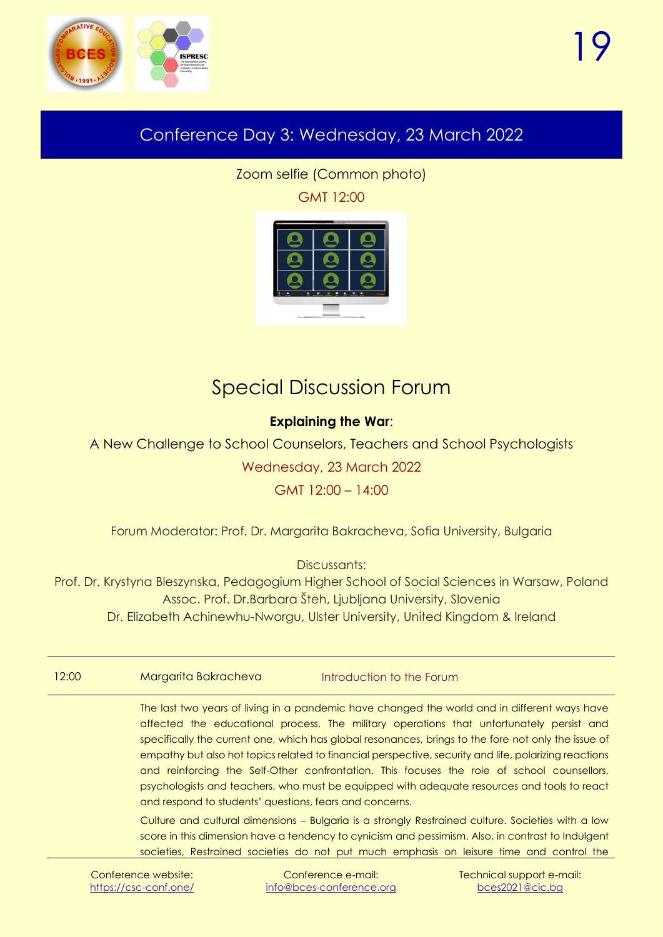

### <span id="page-18-2"></span><span id="page-18-0"></span>Conference Day 3: Wednesday, 23 March 2022

Zoom selfie (Common photo) GMT 12:00



### Special Discussion Forum

#### **Explaining the War**:

<span id="page-18-1"></span>A New Challenge to School Counselors, Teachers and School Psychologists

Wednesday, 23 March 2022

#### GMT 12:00 – 14:00

Forum Moderator: Prof. Dr. Margarita Bakracheva, Sofia University, Bulgaria

Discussants:

Prof. Dr. Krystyna Bleszynska, Pedagogium Higher School of Social Sciences in Warsaw, Poland Assoc. Prof. Dr.Barbara Šteh, Ljubljana University, Slovenia Dr. Elizabeth Achinewhu-Nworgu, Ulster University, United Kingdom & Ireland

| 12:00<br>Margarita Bakracheva | Introduction to the Forum |
|-------------------------------|---------------------------|
|-------------------------------|---------------------------|

The last two years of living in a pandemic have changed the world and in different ways have affected the educational process. The military operations that unfortunately persist and specifically the current one, which has global resonances, brings to the fore not only the issue of empathy but also hot topics related to financial perspective, security and life, polarizing reactions and reinforcing the Self-Other confrontation. This focuses the role of school counsellors, psychologists and teachers, who must be equipped with adequate resources and tools to react and respond to students' questions, fears and concerns.

Culture and cultural dimensions – Bulgaria is a strongly Restrained culture. Societies with a low score in this dimension have a tendency to cynicism and pessimism. Also, in contrast to Indulgent societies, Restrained societies do not put much emphasis on leisure time and control the

Conference e-mail: [info@bces-conference.org](mailto:info@bces-conference.org)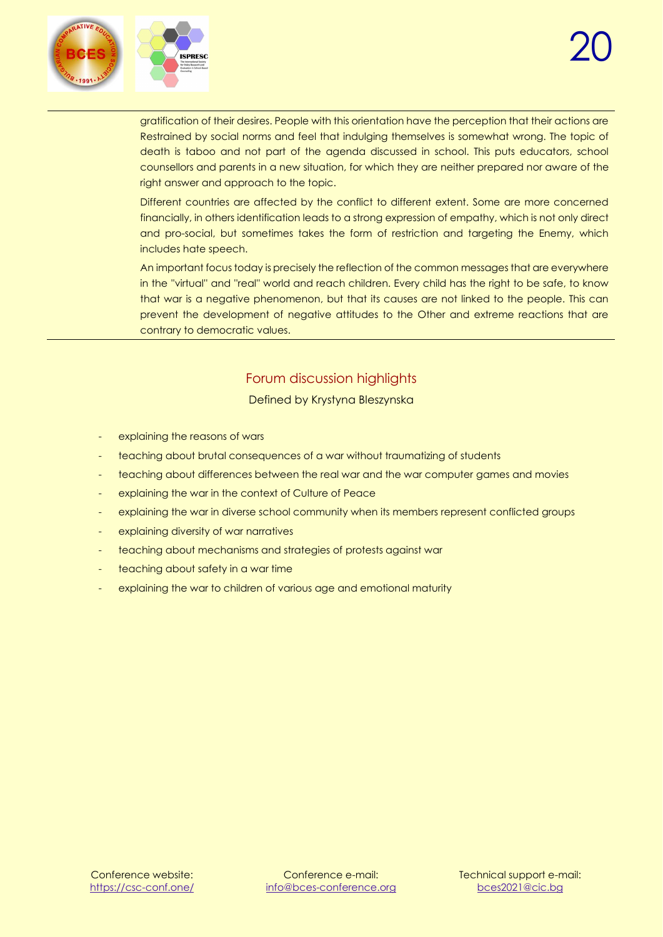

gratification of their desires. People with this orientation have the perception that their actions are Restrained by social norms and feel that indulging themselves is somewhat wrong. The topic of death is taboo and not part of the agenda discussed in school. This puts educators, school counsellors and parents in a new situation, for which they are neither prepared nor aware of the right answer and approach to the topic.

Different countries are affected by the conflict to different extent. Some are more concerned financially, in others identification leads to a strong expression of empathy, which is not only direct and pro-social, but sometimes takes the form of restriction and targeting the Enemy, which includes hate speech.

An important focus today is precisely the reflection of the common messages that are everywhere in the ''virtual'' and ''real'' world and reach children. Every child has the right to be safe, to know that war is a negative phenomenon, but that its causes are not linked to the people. This can prevent the development of negative attitudes to the Other and extreme reactions that are contrary to democratic values.

#### Forum discussion highlights Defined by Krystyna Bleszynska

- explaining the reasons of wars
- teaching about brutal consequences of a war without traumatizing of students
- teaching about differences between the real war and the war computer games and movies
- explaining the war in the context of Culture of Peace
- explaining the war in diverse school community when its members represent conflicted groups
- explaining diversity of war narratives
- teaching about mechanisms and strategies of protests against war
- teaching about safety in a war time
- explaining the war to children of various age and emotional maturity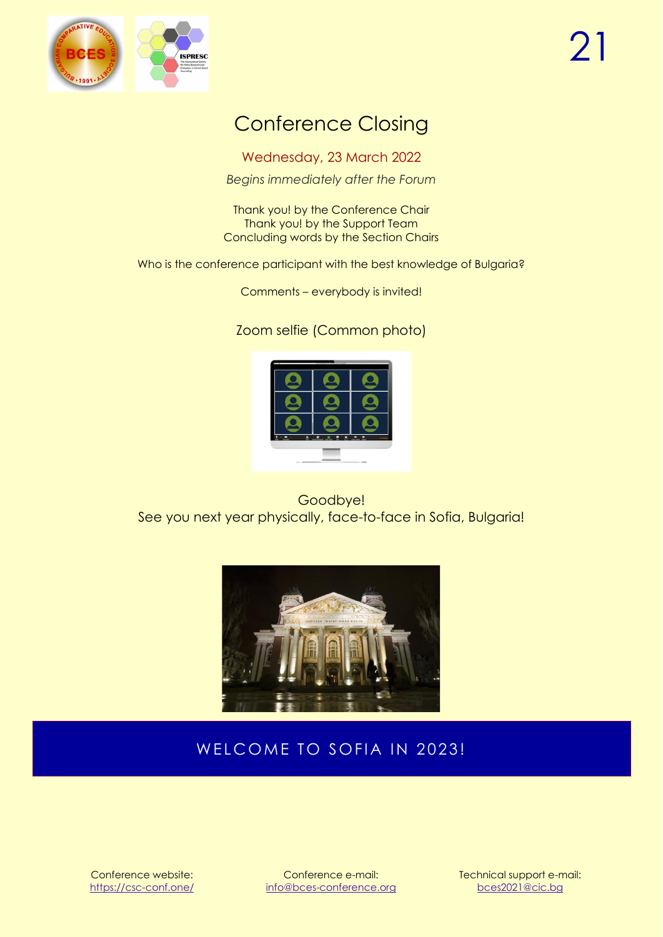<span id="page-20-0"></span>

### Conference Closing

Wednesday, 23 March 2022

*Begins immediately after the Forum*

Thank you! by the Conference Chair Thank you! by the Support Team Concluding words by the Section Chairs

Who is the conference participant with the best knowledge of Bulgaria?

Comments – everybody is invited!

Zoom selfie (Common photo)

<span id="page-20-1"></span>

Goodbye! See you next year physically, face-to-face in Sofia, Bulgaria!



### WELCOME TO SOFIA IN 2023!

Conference website: <https://csc-conf.one/>

Conference e-mail: [info@bces-conference.org](mailto:info@bces-conference.org) Technical support e-mail: [bces2021@cic.bg](mailto:bces2021@cic.bg)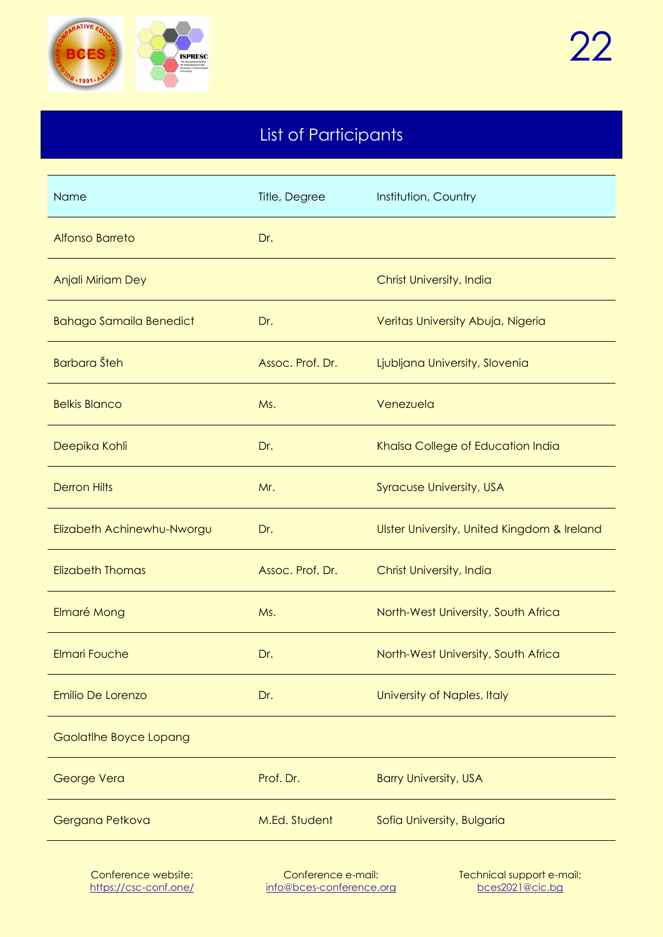

### List of Participants

<span id="page-21-0"></span>

| Name                           | Title, Degree    | Institution, Country                        |
|--------------------------------|------------------|---------------------------------------------|
| <b>Alfonso Barreto</b>         | Dr.              |                                             |
| Anjali Miriam Dey              |                  | Christ University, India                    |
| <b>Bahago Samaila Benedict</b> | Dr.              | Veritas University Abuja, Nigeria           |
| <b>Barbara</b> Šteh            | Assoc. Prof. Dr. | Ljubljana University, Slovenia              |
| <b>Belkis Blanco</b>           | Ms.              | Venezuela                                   |
| Deepika Kohli                  | Dr.              | Khalsa College of Education India           |
| <b>Derron Hilts</b>            | Mr.              | <b>Syracuse University, USA</b>             |
| Elizabeth Achinewhu-Nworgu     | Dr.              | Ulster University, United Kingdom & Ireland |
| <b>Elizabeth Thomas</b>        | Assoc. Prof. Dr. | Christ University, India                    |
| Elmaré Mong                    | Ms.              | North-West University, South Africa         |
| <b>Elmari Fouche</b>           | Dr.              | North-West University, South Africa         |
| Emilio De Lorenzo              | Dr.              | University of Naples, Italy                 |
| Gaolatlhe Boyce Lopang         |                  |                                             |
| George Vera                    | Prof. Dr.        | <b>Barry University, USA</b>                |
| Gergana Petkova                | M.Ed. Student    | Sofia University, Bulgaria                  |
|                                |                  |                                             |

Conference e-mail: [info@bces-conference.org](mailto:info@bces-conference.org)

Technical support e-mail: [bces2021@cic.bg](mailto:bces2021@cic.bg)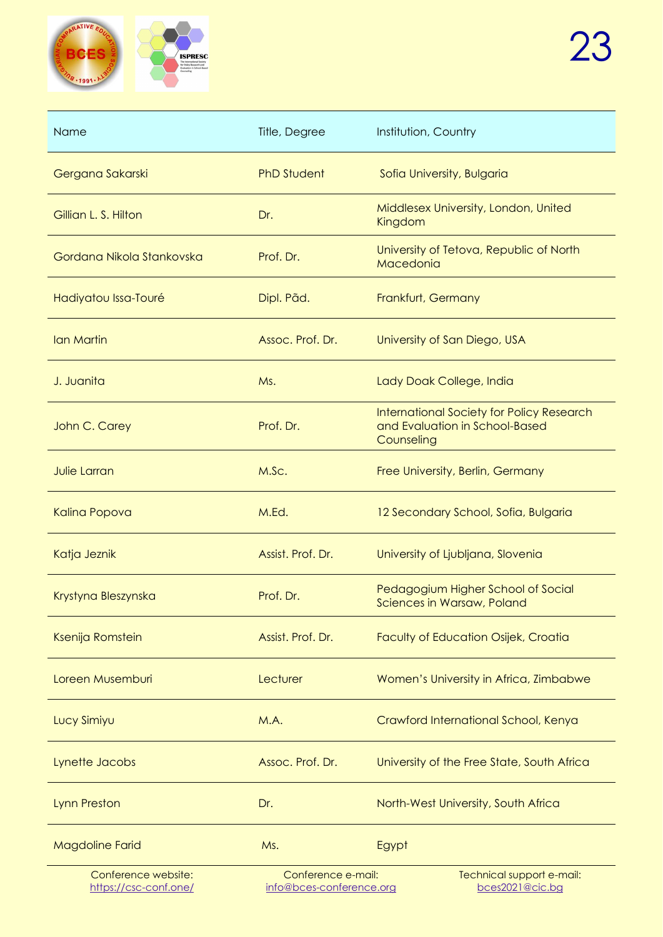

| Name                                         | Title, Degree                                  | Institution, Country                                                                      |
|----------------------------------------------|------------------------------------------------|-------------------------------------------------------------------------------------------|
| Gergana Sakarski                             | <b>PhD Student</b>                             | Sofia University, Bulgaria                                                                |
| Gillian L. S. Hilton                         | Dr.                                            | Middlesex University, London, United<br>Kingdom                                           |
| Gordana Nikola Stankovska                    | Prof. Dr.                                      | University of Tetova, Republic of North<br>Macedonia                                      |
| Hadiyatou Issa-Touré                         | Dipl. Pãd.                                     | Frankfurt, Germany                                                                        |
| Ian Martin                                   | Assoc. Prof. Dr.                               | University of San Diego, USA                                                              |
| J. Juanita                                   | Ms.                                            | Lady Doak College, India                                                                  |
| John C. Carey                                | Prof. Dr.                                      | International Society for Policy Research<br>and Evaluation in School-Based<br>Counseling |
| <b>Julie Larran</b>                          | M.Sc.                                          | Free University, Berlin, Germany                                                          |
| Kalina Popova                                | M.Ed.                                          | 12 Secondary School, Sofia, Bulgaria                                                      |
| Katja Jeznik                                 | Assist, Prof. Dr.                              | University of Ljubljana, Slovenia                                                         |
| Krystyna Bleszynska                          | Prof. Dr.                                      | Pedagogium Higher School of Social<br>Sciences in Warsaw, Poland                          |
| Ksenija Romstein                             | Assist. Prof. Dr.                              | <b>Faculty of Education Osijek, Croatia</b>                                               |
| Loreen Musemburi                             | Lecturer                                       | Women's University in Africa, Zimbabwe                                                    |
| Lucy Simiyu                                  | M.A.                                           | Crawford International School, Kenya                                                      |
| Lynette Jacobs                               | Assoc. Prof. Dr.                               | University of the Free State, South Africa                                                |
| <b>Lynn Preston</b>                          | Dr.                                            | North-West University, South Africa                                                       |
| <b>Magdoline Farid</b>                       | Ms.                                            | Egypt                                                                                     |
| Conference website:<br>https://csc-conf.one/ | Conference e-mail:<br>info@bces-conference.org | Technical support e-mail:<br>bces2021@cic.bg                                              |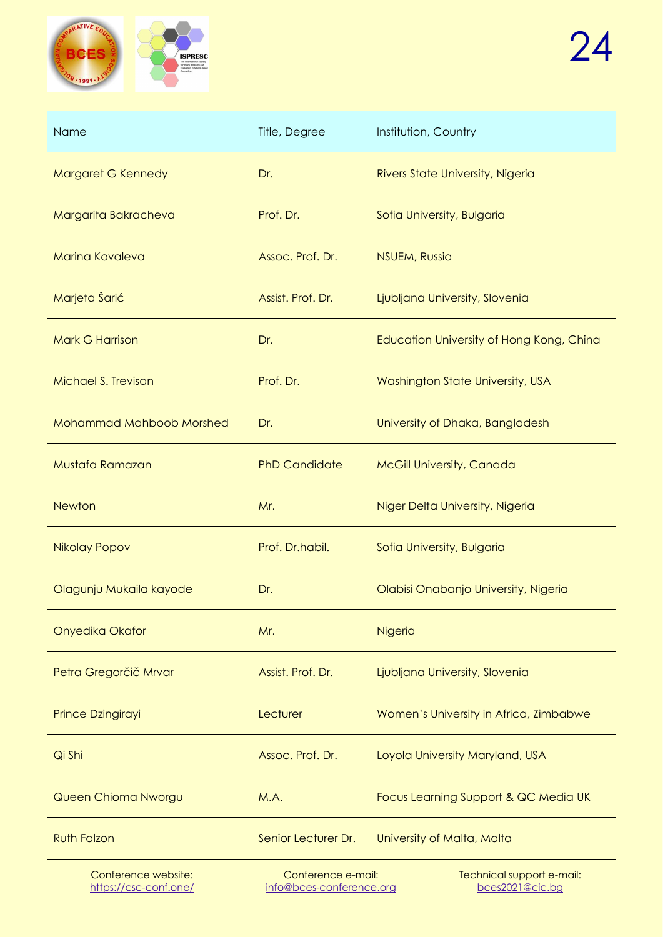

<https://csc-conf.one/>

| <b>Name</b>                     | Title, Degree        | Institution, Country                     |
|---------------------------------|----------------------|------------------------------------------|
| Margaret G Kennedy              | Dr.                  | Rivers State University, Nigeria         |
| Margarita Bakracheva            | Prof. Dr.            | Sofia University, Bulgaria               |
| <b>Marina Kovaleva</b>          | Assoc. Prof. Dr.     | <b>NSUEM, Russia</b>                     |
| Marjeta Šarić                   | Assist. Prof. Dr.    | Ljubljana University, Slovenia           |
| <b>Mark G Harrison</b>          | Dr.                  | Education University of Hong Kong, China |
| Michael S. Trevisan             | Prof. Dr.            | Washington State University, USA         |
| <b>Mohammad Mahboob Morshed</b> | Dr.                  | University of Dhaka, Bangladesh          |
| Mustafa Ramazan                 | <b>PhD Candidate</b> | <b>McGill University, Canada</b>         |
| <b>Newton</b>                   | Mr.                  | Niger Delta University, Nigeria          |
| <b>Nikolay Popov</b>            | Prof. Dr.habil.      | Sofia University, Bulgaria               |
| Olagunju Mukaila kayode         | Dr.                  | Olabisi Onabanjo University, Nigeria     |
| Onyedika Okafor                 | Mr.                  | Nigeria                                  |
| Petra Gregorčič Mrvar           | Assist. Prof. Dr.    | Ljubljana University, Slovenia           |
| Prince Dzingirayi               | Lecturer             | Women's University in Africa, Zimbabwe   |
| Qi Shi                          | Assoc. Prof. Dr.     | Loyola University Maryland, USA          |
| Queen Chioma Nworgu             | M.A.                 | Focus Learning Support & QC Media UK     |
| <b>Ruth Falzon</b>              | Senior Lecturer Dr.  | University of Malta, Malta               |
| Conference website:             | Conference e-mail:   | Technical support e-mail:                |

[info@bces-conference.org](mailto:info@bces-conference.org)

[bces2021@cic.bg](mailto:bces2021@cic.bg)